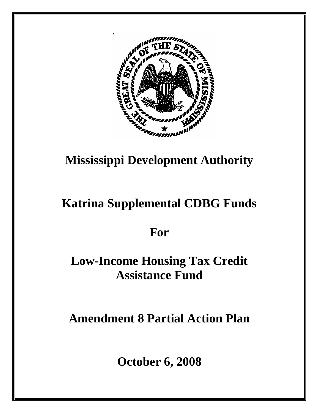

# **Mississippi Development Authority**

# **Katrina Supplemental CDBG Funds**

# **For**

# **Low-Income Housing Tax Credit Assistance Fund**

**Amendment 8 Partial Action Plan** 

**October 6, 2008**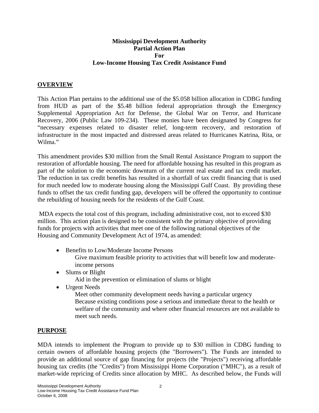#### **Mississippi Development Authority Partial Action Plan For Low-Income Housing Tax Credit Assistance Fund**

#### **OVERVIEW**

This Action Plan pertains to the additional use of the \$5.058 billion allocation in CDBG funding from HUD as part of the \$5.48 billion federal appropriation through the Emergency Supplemental Appropriation Act for Defense, the Global War on Terror, and Hurricane Recovery, 2006 (Public Law 109-234). These monies have been designated by Congress for "necessary expenses related to disaster relief, long-term recovery, and restoration of infrastructure in the most impacted and distressed areas related to Hurricanes Katrina, Rita, or Wilma<sup>"</sup>

This amendment provides \$30 million from the Small Rental Assistance Program to support the restoration of affordable housing. The need for affordable housing has resulted in this program as part of the solution to the economic downturn of the current real estate and tax credit market. The reduction in tax credit benefits has resulted in a shortfall of tax credit financing that is used for much needed low to moderate housing along the Mississippi Gulf Coast. By providing these funds to offset the tax credit funding gap, developers will be offered the opportunity to continue the rebuilding of housing needs for the residents of the Gulf Coast.

MDA expects the total cost of this program, including administrative cost, not to exceed \$30 million. This action plan is designed to be consistent with the primary objective of providing funds for projects with activities that meet one of the following national objectives of the Housing and Community Development Act of 1974, as amended:

- Benefits to Low/Moderate Income Persons Give maximum feasible priority to activities that will benefit low and moderateincome persons
- Slums or Blight

Aid in the prevention or elimination of slums or blight

• Urgent Needs

 Meet other community development needs having a particular urgency Because existing conditions pose a serious and immediate threat to the health or welfare of the community and where other financial resources are not available to meet such needs.

#### **PURPOSE**

MDA intends to implement the Program to provide up to \$30 million in CDBG funding to certain owners of affordable housing projects (the "Borrowers"). The Funds are intended to provide an additional source of gap financing for projects (the "Projects") receiving affordable housing tax credits (the "Credits") from Mississippi Home Corporation ("MHC"), as a result of market-wide repricing of Credits since allocation by MHC. As described below, the Funds will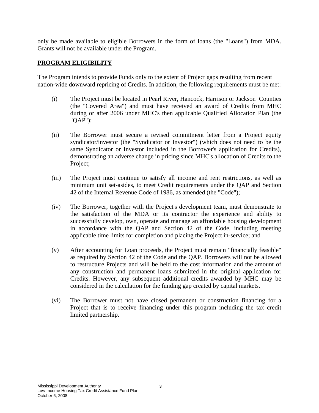only be made available to eligible Borrowers in the form of loans (the "Loans") from MDA. Grants will not be available under the Program.

#### **PROGRAM ELIGIBILITY**

The Program intends to provide Funds only to the extent of Project gaps resulting from recent nation-wide downward repricing of Credits. In addition, the following requirements must be met:

- (i) The Project must be located in Pearl River, Hancock, Harrison or Jackson Counties (the "Covered Area") and must have received an award of Credits from MHC during or after 2006 under MHC's then applicable Qualified Allocation Plan (the "QAP");
- (ii) The Borrower must secure a revised commitment letter from a Project equity syndicator/investor (the "Syndicator or Investor") (which does not need to be the same Syndicator or Investor included in the Borrower's application for Credits), demonstrating an adverse change in pricing since MHC's allocation of Credits to the Project;
- (iii) The Project must continue to satisfy all income and rent restrictions, as well as minimum unit set-asides, to meet Credit requirements under the QAP and Section 42 of the Internal Revenue Code of 1986, as amended (the "Code");
- (iv) The Borrower, together with the Project's development team, must demonstrate to the satisfaction of the MDA or its contractor the experience and ability to successfully develop, own, operate and manage an affordable housing development in accordance with the QAP and Section 42 of the Code, including meeting applicable time limits for completion and placing the Project in-service; and
- (v) After accounting for Loan proceeds, the Project must remain "financially feasible" as required by Section 42 of the Code and the QAP. Borrowers will not be allowed to restructure Projects and will be held to the cost information and the amount of any construction and permanent loans submitted in the original application for Credits. However, any subsequent additional credits awarded by MHC may be considered in the calculation for the funding gap created by capital markets.
- (vi) The Borrower must not have closed permanent or construction financing for a Project that is to receive financing under this program including the tax credit limited partnership.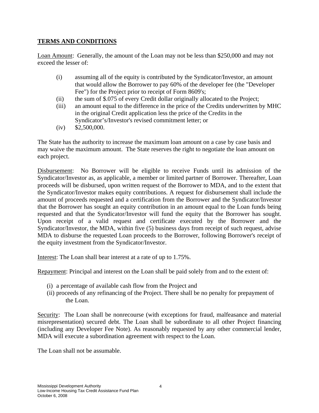# **TERMS AND CONDITIONS**

Loan Amount: Generally, the amount of the Loan may not be less than \$250,000 and may not exceed the lesser of:

- (i) assuming all of the equity is contributed by the Syndicator/Investor, an amount that would allow the Borrower to pay 60% of the developer fee (the "Developer Fee") for the Project prior to receipt of Form 8609's;
- (ii) the sum of \$.075 of every Credit dollar originally allocated to the Project;
- (iii) an amount equal to the difference in the price of the Credits underwritten by MHC in the original Credit application less the price of the Credits in the Syndicator's/Investor's revised commitment letter; or
- $(iv)$  \$2,500,000.

The State has the authority to increase the maximum loan amount on a case by case basis and may waive the maximum amount. The State reserves the right to negotiate the loan amount on each project.

Disbursement: No Borrower will be eligible to receive Funds until its admission of the Syndicator/Investor as, as applicable, a member or limited partner of Borrower. Thereafter, Loan proceeds will be disbursed, upon written request of the Borrower to MDA, and to the extent that the Syndicator/Investor makes equity contributions. A request for disbursement shall include the amount of proceeds requested and a certification from the Borrower and the Syndicator/Investor that the Borrower has sought an equity contribution in an amount equal to the Loan funds being requested and that the Syndicator/Investor will fund the equity that the Borrower has sought. Upon receipt of a valid request and certificate executed by the Borrower and the Syndicator/Investor, the MDA, within five (5) business days from receipt of such request, advise MDA to disburse the requested Loan proceeds to the Borrower, following Borrower's receipt of the equity investment from the Syndicator/Investor.

Interest: The Loan shall bear interest at a rate of up to 1.75%.

Repayment: Principal and interest on the Loan shall be paid solely from and to the extent of:

- (i) a percentage of available cash flow from the Project and
- (ii) proceeds of any refinancing of the Project. There shall be no penalty for prepayment of the Loan.

Security: The Loan shall be nonrecourse (with exceptions for fraud, malfeasance and material misrepresentation) secured debt. The Loan shall be subordinate to all other Project financing (including any Developer Fee Note). As reasonably requested by any other commercial lender, MDA will execute a subordination agreement with respect to the Loan.

The Loan shall not be assumable.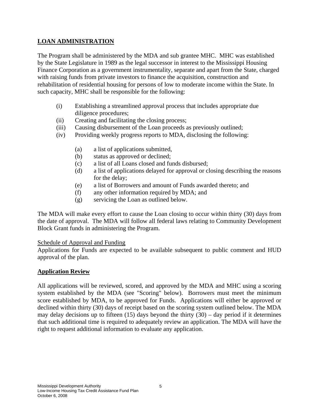### **LOAN ADMINISTRATION**

The Program shall be administered by the MDA and sub grantee MHC. MHC was established by the State Legislature in 1989 as the legal successor in interest to the Mississippi Housing Finance Corporation as a government instrumentality, separate and apart from the State, charged with raising funds from private investors to finance the acquisition, construction and rehabilitation of residential housing for persons of low to moderate income within the State. In such capacity, MHC shall be responsible for the following:

- (i) Establishing a streamlined approval process that includes appropriate due diligence procedures;
- (ii) Creating and facilitating the closing process;
- (iii) Causing disbursement of the Loan proceeds as previously outlined;
- (iv) Providing weekly progress reports to MDA, disclosing the following:
	- (a) a list of applications submitted,
	- (b) status as approved or declined;
	- (c) a list of all Loans closed and funds disbursed;
	- (d) a list of applications delayed for approval or closing describing the reasons for the delay;
	- (e) a list of Borrowers and amount of Funds awarded thereto; and
	- (f) any other information required by MDA; and
	- (g) servicing the Loan as outlined below.

The MDA will make every effort to cause the Loan closing to occur within thirty (30) days from the date of approval. The MDA will follow all federal laws relating to Community Development Block Grant funds in administering the Program.

#### Schedule of Approval and Funding

Applications for Funds are expected to be available subsequent to public comment and HUD approval of the plan.

#### **Application Review**

All applications will be reviewed, scored, and approved by the MDA and MHC using a scoring system established by the MDA (see "Scoring" below). Borrowers must meet the minimum score established by MDA, to be approved for Funds. Applications will either be approved or declined within thirty (30) days of receipt based on the scoring system outlined below. The MDA may delay decisions up to fifteen  $(15)$  days beyond the thirty  $(30)$  – day period if it determines that such additional time is required to adequately review an application. The MDA will have the right to request additional information to evaluate any application.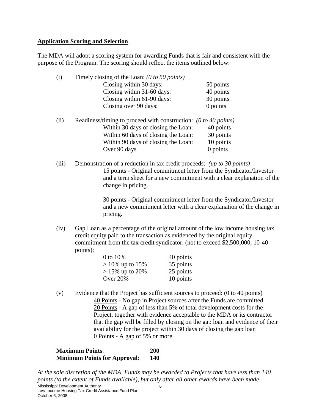#### **Application Scoring and Selection**

The MDA will adopt a scoring system for awarding Funds that is fair and consistent with the purpose of the Program. The scoring should reflect the items outlined below:

| (i)   | Timely closing of the Loan: $(0 to 50 points)$                         |           |  |
|-------|------------------------------------------------------------------------|-----------|--|
|       | Closing within 30 days:                                                | 50 points |  |
|       | Closing within 31-60 days:                                             | 40 points |  |
|       | Closing within 61-90 days:                                             | 30 points |  |
|       | Closing over 90 days:                                                  | 0 points  |  |
| (ii)  | Readiness/timing to proceed with construction: $(0 to 40 points)$      |           |  |
|       | Within 30 days of closing the Loan:                                    | 40 points |  |
|       | Within 60 days of closing the Loan:                                    | 30 points |  |
|       | Within 90 days of closing the Loan:                                    | 10 points |  |
|       | Over 90 days                                                           | 0 points  |  |
| (iii) | Demonstration of a reduction in tax credit proceeds: (up to 30 points) |           |  |
|       | 15 points - Original commitment letter from the Syndicator/I           |           |  |

15 points - Original commitment letter from the Syndicator/Investor and a term sheet for a new commitment with a clear explanation of the change in pricing.

> 30 points - Original commitment letter from the Syndicator/Investor and a new commitment letter with a clear explanation of the change in pricing.

(iv) Gap Loan as a percentage of the original amount of the low income housing tax credit equity paid to the transaction as evidenced by the original equity commitment from the tax credit syndicator. (not to exceed \$2,500,000, 10-40 points):

| 0 to 10%           | 40 points |
|--------------------|-----------|
| $> 10\%$ up to 15% | 35 points |
| $> 15\%$ up to 20% | 25 points |
| Over $20%$         | 10 points |

(v) Evidence that the Project has sufficient sources to proceed: (0 to 40 points) 40 Points - No gap in Project sources after the Funds are committed 20 Points - A gap of less than 5% of total development costs for the Project, together with evidence acceptable to the MDA or its contractor that the gap will be filled by closing on the gap loan and evidence of their availability for the project within 30 days of closing the gap loan 0 Points - A gap of 5% or more

| <b>Maximum Points:</b>              |            |
|-------------------------------------|------------|
| <b>Minimum Points for Approval:</b> | <b>140</b> |

*At the sole discretion of the MDA, Funds may be awarded to Projects that have less than 140 points (to the extent of Funds available), but only after all other awards have been made*.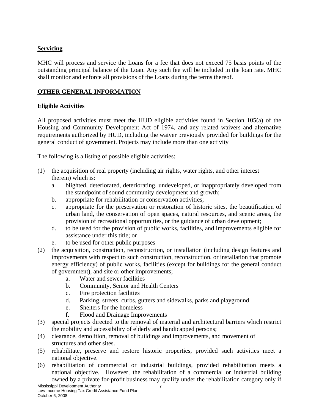# **Servicing**

MHC will process and service the Loans for a fee that does not exceed 75 basis points of the outstanding principal balance of the Loan. Any such fee will be included in the loan rate. MHC shall monitor and enforce all provisions of the Loans during the terms thereof.

# **OTHER GENERAL INFORMATION**

# **Eligible Activities**

All proposed activities must meet the HUD eligible activities found in Section 105(a) of the Housing and Community Development Act of 1974, and any related waivers and alternative requirements authorized by HUD, including the waiver previously provided for buildings for the general conduct of government. Projects may include more than one activity

The following is a listing of possible eligible activities:

- (1) the acquisition of real property (including air rights, water rights, and other interest therein) which is:
	- a. blighted, deteriorated, deteriorating, undeveloped, or inappropriately developed from the standpoint of sound community development and growth;
	- b. appropriate for rehabilitation or conservation activities;
	- c. appropriate for the preservation or restoration of historic sites, the beautification of urban land, the conservation of open spaces, natural resources, and scenic areas, the provision of recreational opportunities, or the guidance of urban development;
	- d. to be used for the provision of public works, facilities, and improvements eligible for assistance under this title; or
	- e. to be used for other public purposes
- (2) the acquisition, construction, reconstruction, or installation (including design features and improvements with respect to such construction, reconstruction, or installation that promote energy efficiency) of public works, facilities (except for buildings for the general conduct of government), and site or other improvements;
	- a. Water and sewer facilities
	- b. Community, Senior and Health Centers
	- c. Fire protection facilities
	- d. Parking, streets, curbs, gutters and sidewalks, parks and playground
	- e. Shelters for the homeless
	- f. Flood and Drainage Improvements
- (3) special projects directed to the removal of material and architectural barriers which restrict the mobility and accessibility of elderly and handicapped persons;
- (4) clearance, demolition, removal of buildings and improvements, and movement of structures and other sites.
- (5) rehabilitate, preserve and restore historic properties, provided such activities meet a national objective.
- (6) rehabilitation of commercial or industrial buildings, provided rehabilitation meets a national objective. However, the rehabilitation of a commercial or industrial building owned by a private for-profit business may qualify under the rehabilitation category only if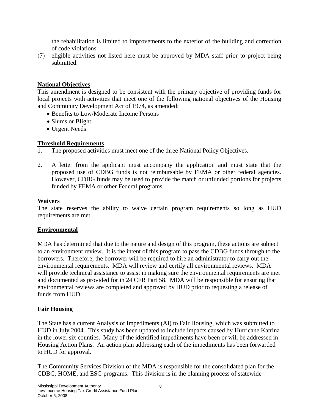the rehabilitation is limited to improvements to the exterior of the building and correction of code violations.

(7) eligible activities not listed here must be approved by MDA staff prior to project being submitted.

### **National Objectives**

This amendment is designed to be consistent with the primary objective of providing funds for local projects with activities that meet one of the following national objectives of the Housing and Community Development Act of 1974, as amended:

- Benefits to Low/Moderate Income Persons
- Slums or Blight
- Urgent Needs

### **Threshold Requirements**

- 1. The proposed activities must meet one of the three National Policy Objectives.
- 2. A letter from the applicant must accompany the application and must state that the proposed use of CDBG funds is not reimbursable by FEMA or other federal agencies. However, CDBG funds may be used to provide the match or unfunded portions for projects funded by FEMA or other Federal programs.

#### **Waivers**

The state reserves the ability to waive certain program requirements so long as HUD requirements are met.

#### **Environmental**

MDA has determined that due to the nature and design of this program, these actions are subject to an environment review. It is the intent of this program to pass the CDBG funds through to the borrowers. Therefore, the borrower will be required to hire an administrator to carry out the environmental requirements. MDA will review and certify all environmental reviews. MDA will provide technical assistance to assist in making sure the environmental requirements are met and documented as provided for in 24 CFR Part 58. MDA will be responsible for ensuring that environmental reviews are completed and approved by HUD prior to requesting a release of funds from HUD.

#### **Fair Housing**

The State has a current Analysis of Impediments (AI) to Fair Housing, which was submitted to HUD in July 2004. This study has been updated to include impacts caused by Hurricane Katrina in the lower six counties. Many of the identified impediments have been or will be addressed in Housing Action Plans. An action plan addressing each of the impediments has been forwarded to HUD for approval.

The Community Services Division of the MDA is responsible for the consolidated plan for the CDBG, HOME, and ESG programs. This division is in the planning process of statewide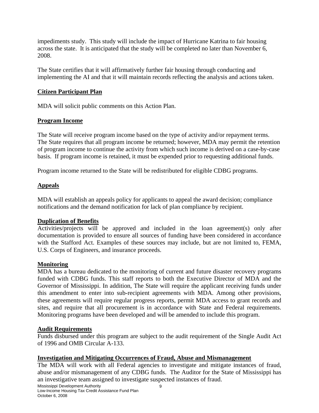impediments study. This study will include the impact of Hurricane Katrina to fair housing across the state. It is anticipated that the study will be completed no later than November 6, 2008.

The State certifies that it will affirmatively further fair housing through conducting and implementing the AI and that it will maintain records reflecting the analysis and actions taken.

### **Citizen Participant Plan**

MDA will solicit public comments on this Action Plan.

### **Program Income**

The State will receive program income based on the type of activity and/or repayment terms. The State requires that all program income be returned; however, MDA may permit the retention of program income to continue the activity from which such income is derived on a case-by-case basis. If program income is retained, it must be expended prior to requesting additional funds.

Program income returned to the State will be redistributed for eligible CDBG programs.

# **Appeals**

MDA will establish an appeals policy for applicants to appeal the award decision; compliance notifications and the demand notification for lack of plan compliance by recipient.

# **Duplication of Benefits**

Activities/projects will be approved and included in the loan agreement(s) only after documentation is provided to ensure all sources of funding have been considered in accordance with the Stafford Act. Examples of these sources may include, but are not limited to, FEMA, U.S. Corps of Engineers, and insurance proceeds.

#### **Monitoring**

MDA has a bureau dedicated to the monitoring of current and future disaster recovery programs funded with CDBG funds. This staff reports to both the Executive Director of MDA and the Governor of Mississippi. In addition, The State will require the applicant receiving funds under this amendment to enter into sub-recipient agreements with MDA. Among other provisions, these agreements will require regular progress reports, permit MDA access to grant records and sites, and require that all procurement is in accordance with State and Federal requirements. Monitoring programs have been developed and will be amended to include this program.

#### **Audit Requirements**

Funds disbursed under this program are subject to the audit requirement of the Single Audit Act of 1996 and OMB Circular A-133.

#### **Investigation and Mitigating Occurrences of Fraud, Abuse and Mismanagement**

The MDA will work with all Federal agencies to investigate and mitigate instances of fraud, abuse and/or mismanagement of any CDBG funds. The Auditor for the State of Mississippi has an investigative team assigned to investigate suspected instances of fraud.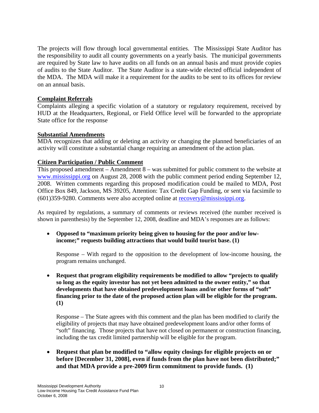The projects will flow through local governmental entities. The Mississippi State Auditor has the responsibility to audit all county governments on a yearly basis. The municipal governments are required by State law to have audits on all funds on an annual basis and must provide copies of audits to the State Auditor. The State Auditor is a state-wide elected official independent of the MDA. The MDA will make it a requirement for the audits to be sent to its offices for review on an annual basis.

#### **Complaint Referrals**

Complaints alleging a specific violation of a statutory or regulatory requirement, received by HUD at the Headquarters, Regional, or Field Office level will be forwarded to the appropriate State office for the response

#### **Substantial Amendments**

MDA recognizes that adding or deleting an activity or changing the planned beneficiaries of an activity will constitute a substantial change requiring an amendment of the action plan.

#### **Citizen Participation / Public Comment**

This proposed amendment – Amendment  $8 - was$  submitted for public comment to the website at www.mississippi.org on August 28, 2008 with the public comment period ending September 12, 2008. Written comments regarding this proposed modification could be mailed to MDA, Post Office Box 849, Jackson, MS 39205, Attention: Tax Credit Gap Funding, or sent via facsimile to (601)359-9280. Comments were also accepted online at recovery@mississippi.org.

As required by regulations, a summary of comments or reviews received (the number received is shown in parenthesis) by the September 12, 2008, deadline and MDA's responses are as follows:

• **Opposed to "maximum priority being given to housing for the poor and/or lowincome;" requests building attractions that would build tourist base. (1)**

Response – With regard to the opposition to the development of low-income housing, the program remains unchanged.

• **Request that program eligibility requirements be modified to allow "projects to qualify so long as the equity investor has not yet been admitted to the owner entity," so that developments that have obtained predevelopment loans and/or other forms of "soft" financing prior to the date of the proposed action plan will be eligible for the program. (1)**

Response – The State agrees with this comment and the plan has been modified to clarify the eligibility of projects that may have obtained predevelopment loans and/or other forms of "soft" financing. Those projects that have not closed on permanent or construction financing, including the tax credit limited partnership will be eligible for the program.

• **Request that plan be modified to "allow equity closings for eligible projects on or before [December 31, 2008], even if funds from the plan have not been distributed;" and that MDA provide a pre-2009 firm commitment to provide funds. (1)**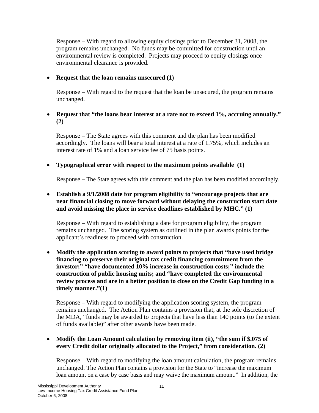Response – With regard to allowing equity closings prior to December 31, 2008, the program remains unchanged. No funds may be committed for construction until an environmental review is completed. Projects may proceed to equity closings once environmental clearance is provided.

#### • **Request that the loan remains unsecured (1)**

Response – With regard to the request that the loan be unsecured, the program remains unchanged.

#### • **Request that "the loans bear interest at a rate not to exceed 1%, accruing annually." (2)**

Response – The State agrees with this comment and the plan has been modified accordingly. The loans will bear a total interest at a rate of 1.75%, which includes an interest rate of 1% and a loan service fee of 75 basis points.

### • **Typographical error with respect to the maximum points available (1)**

Response – The State agrees with this comment and the plan has been modified accordingly.

#### • **Establish a 9/1/2008 date for program eligibility to "encourage projects that are near financial closing to move forward without delaying the construction start date and avoid missing the place in service deadlines established by MHC." (1)**

Response – With regard to establishing a date for program eligibility, the program remains unchanged. The scoring system as outlined in the plan awards points for the applicant's readiness to proceed with construction.

#### • **Modify the application scoring to award points to projects that "have used bridge financing to preserve their original tax credit financing commitment from the investor;" "have documented 10% increase in construction costs;" include the construction of public housing units; and "have completed the environmental review process and are in a better position to close on the Credit Gap funding in a timely manner."(1)**

Response – With regard to modifying the application scoring system, the program remains unchanged. The Action Plan contains a provision that, at the sole discretion of the MDA, "funds may be awarded to projects that have less than 140 points (to the extent of funds available)" after other awards have been made.

#### • **Modify the Loan Amount calculation by removing item (ii), "the sum if \$.075 of every Credit dollar originally allocated to the Project," from consideration. (2)**

Response – With regard to modifying the loan amount calculation, the program remains unchanged. The Action Plan contains a provision for the State to "increase the maximum loan amount on a case by case basis and may waive the maximum amount." In addition, the